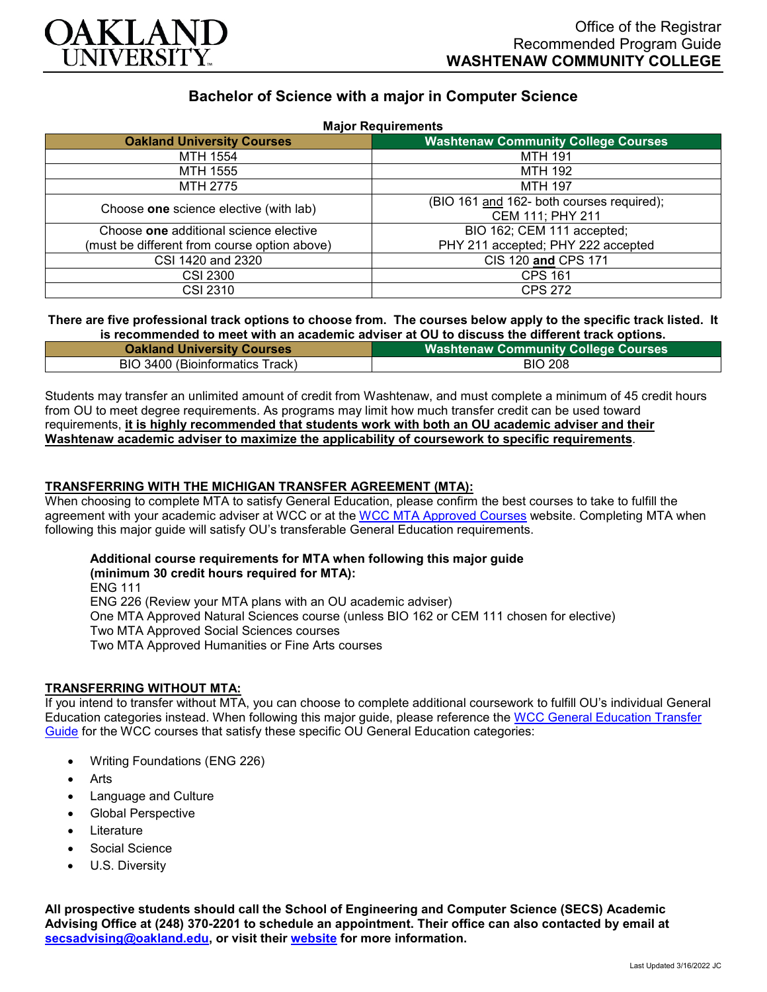

# **Bachelor of Science with a major in Computer Science**

| <b>Major Requirements</b>                    |                                            |
|----------------------------------------------|--------------------------------------------|
| <b>Oakland University Courses</b>            | <b>Washtenaw Community College Courses</b> |
| MTH 1554                                     | <b>MTH 191</b>                             |
| MTH 1555                                     | <b>MTH 192</b>                             |
| MTH 2775                                     | <b>MTH 197</b>                             |
| Choose one science elective (with lab)       | (BIO 161 and 162- both courses required);  |
|                                              | CEM 111; PHY 211                           |
| Choose one additional science elective       | BIO 162; CEM 111 accepted;                 |
| (must be different from course option above) | PHY 211 accepted; PHY 222 accepted         |
| CSI 1420 and 2320                            | CIS 120 and CPS 171                        |
| <b>CSI 2300</b>                              | <b>CPS 161</b>                             |
| CSI 2310                                     | <b>CPS 272</b>                             |

#### **There are five professional track options to choose from. The courses below apply to the specific track listed. It is recommended to meet with an academic adviser at OU to discuss the different track options.**

| <b>Oakland University Courses</b> | <b>Washtenaw Community College Courses</b> |
|-----------------------------------|--------------------------------------------|
| BIO 3400 (Bioinformatics Track)   | <b>BIO 208</b>                             |

Students may transfer an unlimited amount of credit from Washtenaw, and must complete a minimum of 45 credit hours from OU to meet degree requirements. As programs may limit how much transfer credit can be used toward requirements, **it is highly recommended that students work with both an OU academic adviser and their Washtenaw academic adviser to maximize the applicability of coursework to specific requirements**.

### **TRANSFERRING WITH THE MICHIGAN TRANSFER AGREEMENT (MTA):**

When choosing to complete MTA to satisfy General Education, please confirm the best courses to take to fulfill the agreement with your academic adviser at WCC or at the [WCC MTA Approved Courses](http://www.wccnet.edu/services/transferresources/mta/) website. Completing MTA when following this major guide will satisfy OU's transferable General Education requirements.

# **Additional course requirements for MTA when following this major guide**

**(minimum 30 credit hours required for MTA):**

ENG 111 ENG 226 (Review your MTA plans with an OU academic adviser)

One MTA Approved Natural Sciences course (unless BIO 162 or CEM 111 chosen for elective)

Two MTA Approved Social Sciences courses

Two MTA Approved Humanities or Fine Arts courses

## **TRANSFERRING WITHOUT MTA:**

If you intend to transfer without MTA, you can choose to complete additional coursework to fulfill OU's individual General Education categories instead. When following this major guide, please reference the [WCC General Education Transfer](https://www.oakland.edu/Assets/Oakland/program-guides/washtenaw-community-college/university-general-education-requirements/Washtenaw%20Gen%20Ed.pdf)  [Guide](https://www.oakland.edu/Assets/Oakland/program-guides/washtenaw-community-college/university-general-education-requirements/Washtenaw%20Gen%20Ed.pdf) for the WCC courses that satisfy these specific OU General Education categories:

- Writing Foundations (ENG 226)
- Arts
- Language and Culture
- Global Perspective
- **Literature**
- Social Science
- U.S. Diversity

**All prospective students should call the School of Engineering and Computer Science (SECS) Academic Advising Office at (248) 370-2201 to schedule an appointment. Their office can also contacted by email at [secsadvising@oakland.edu,](mailto:secsadvising@oakland.edu) or visit their [website](https://wwwp.oakland.edu/secs/advising/) for more information.**